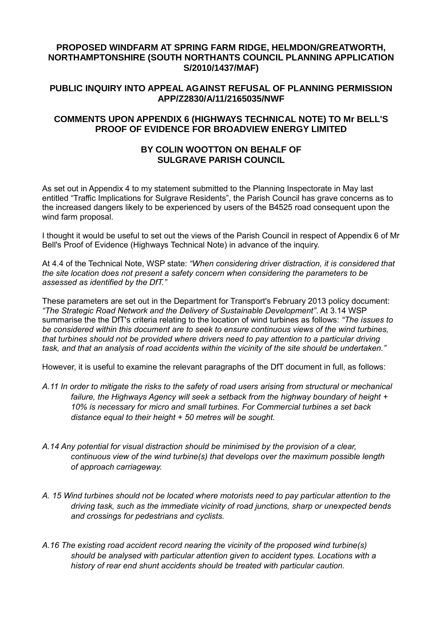### **PROPOSED WINDFARM AT SPRING FARM RIDGE, HELMDON/GREATWORTH, NORTHAMPTONSHIRE (SOUTH NORTHANTS COUNCIL PLANNING APPLICATION S/2010/1437/MAF)**

# **PUBLIC INQUIRY INTO APPEAL AGAINST REFUSAL OF PLANNING PERMISSION APP/Z2830/A/11/2165035/NWF**

#### **COMMENTS UPON APPENDIX 6 (HIGHWAYS TECHNICAL NOTE) TO Mr BELL'S PROOF OF EVIDENCE FOR BROADVIEW ENERGY LIMITED**

#### **BY COLIN WOOTTON ON BEHALF OF SULGRAVE PARISH COUNCIL**

As set out in Appendix 4 to my statement submitted to the Planning Inspectorate in May last entitled "Traffic Implications for Sulgrave Residents", the Parish Council has grave concerns as to the increased dangers likely to be experienced by users of the B4525 road consequent upon the wind farm proposal.

I thought it would be useful to set out the views of the Parish Council in respect of Appendix 6 of Mr Bell's Proof of Evidence (Highways Technical Note) in advance of the inquiry.

At 4.4 of the Technical Note, WSP state: *"When considering driver distraction, it is considered that the site location does not present a safety concern when considering the parameters to be assessed as identified by the DfT."*

These parameters are set out in the Department for Transport's February 2013 policy document: *"The Strategic Road Network and the Delivery of Sustainable Development"*. At 3.14 WSP summarise the the DfT's criteria relating to the location of wind turbines as follows: *"The issues to be considered within this document are to seek to ensure continuous views of the wind turbines, that turbines should not be provided where drivers need to pay attention to a particular driving task, and that an analysis of road accidents within the vicinity of the site should be undertaken."*

However, it is useful to examine the relevant paragraphs of the DfT document in full, as follows:

- *A.11 In order to mitigate the risks to the safety of road users arising from structural or mechanical failure, the Highways Agency will seek a setback from the highway boundary of height + 10% is necessary for micro and small turbines. For Commercial turbines a set back distance equal to their height + 50 metres will be sought.*
- *A.14 Any potential for visual distraction should be minimised by the provision of a clear, continuous view of the wind turbine(s) that develops over the maximum possible length of approach carriageway.*
- *A. 15 Wind turbines should not be located where motorists need to pay particular attention to the driving task, such as the immediate vicinity of road junctions, sharp or unexpected bends and crossings for pedestrians and cyclists.*
- *A.16 The existing road accident record nearing the vicinity of the proposed wind turbine(s) should be analysed with particular attention given to accident types. Locations with a history of rear end shunt accidents should be treated with particular caution.*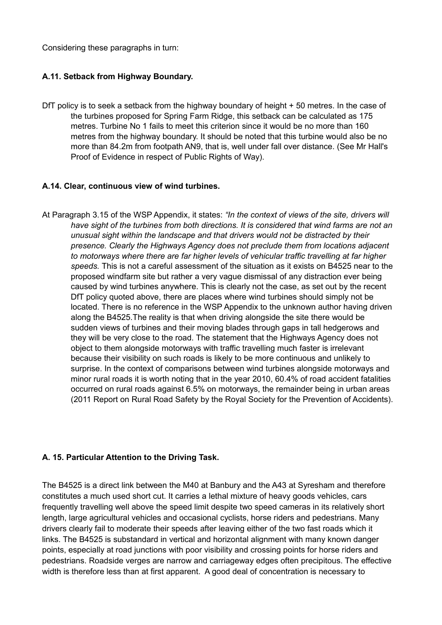Considering these paragraphs in turn:

### **A.11. Setback from Highway Boundary.**

DfT policy is to seek a setback from the highway boundary of height + 50 metres. In the case of the turbines proposed for Spring Farm Ridge, this setback can be calculated as 175 metres. Turbine No 1 fails to meet this criterion since it would be no more than 160 metres from the highway boundary. It should be noted that this turbine would also be no more than 84.2m from footpath AN9, that is, well under fall over distance. (See Mr Hall's Proof of Evidence in respect of Public Rights of Way).

#### **A.14. Clear, continuous view of wind turbines.**

At Paragraph 3.15 of the WSP Appendix, it states: *"In the context of views of the site, drivers will have sight of the turbines from both directions. It is considered that wind farms are not an unusual sight within the landscape and that drivers would not be distracted by their presence. Clearly the Highways Agency does not preclude them from locations adjacent to motorways where there are far higher levels of vehicular traffic travelling at far higher speeds.* This is not a careful assessment of the situation as it exists on B4525 near to the proposed windfarm site but rather a very vague dismissal of any distraction ever being caused by wind turbines anywhere. This is clearly not the case, as set out by the recent DfT policy quoted above, there are places where wind turbines should simply not be located. There is no reference in the WSP Appendix to the unknown author having driven along the B4525.The reality is that when driving alongside the site there would be sudden views of turbines and their moving blades through gaps in tall hedgerows and they will be very close to the road. The statement that the Highways Agency does not object to them alongside motorways with traffic travelling much faster is irrelevant because their visibility on such roads is likely to be more continuous and unlikely to surprise. In the context of comparisons between wind turbines alongside motorways and minor rural roads it is worth noting that in the year 2010, 60.4% of road accident fatalities occurred on rural roads against 6.5% on motorways, the remainder being in urban areas (2011 Report on Rural Road Safety by the Royal Society for the Prevention of Accidents).

# **A. 15. Particular Attention to the Driving Task.**

The B4525 is a direct link between the M40 at Banbury and the A43 at Syresham and therefore constitutes a much used short cut. It carries a lethal mixture of heavy goods vehicles, cars frequently travelling well above the speed limit despite two speed cameras in its relatively short length, large agricultural vehicles and occasional cyclists, horse riders and pedestrians. Many drivers clearly fail to moderate their speeds after leaving either of the two fast roads which it links. The B4525 is substandard in vertical and horizontal alignment with many known danger points, especially at road junctions with poor visibility and crossing points for horse riders and pedestrians. Roadside verges are narrow and carriageway edges often precipitous. The effective width is therefore less than at first apparent. A good deal of concentration is necessary to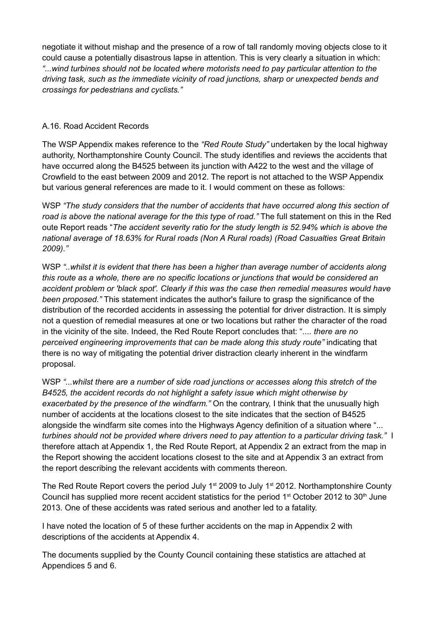negotiate it without mishap and the presence of a row of tall randomly moving objects close to it could cause a potentially disastrous lapse in attention. This is very clearly a situation in which: *"...wind turbines should not be located where motorists need to pay particular attention to the driving task, such as the immediate vicinity of road junctions, sharp or unexpected bends and crossings for pedestrians and cyclists."*

# A.16. Road Accident Records

The WSP Appendix makes reference to the *"Red Route Study"* undertaken by the local highway authority, Northamptonshire County Council. The study identifies and reviews the accidents that have occurred along the B4525 between its junction with A422 to the west and the village of Crowfield to the east between 2009 and 2012. The report is not attached to the WSP Appendix but various general references are made to it. I would comment on these as follows:

WSP *"The study considers that the number of accidents that have occurred along this section of road is above the national average for the this type of road."* The full statement on this in the Red oute Report reads "*The accident severity ratio for the study length is 52.94% which is above the national average of 18.63% for Rural roads (Non A Rural roads) (Road Casualties Great Britain 2009)."*

WSP "..whilst it is evident that there has been a higher than average number of accidents along *this route as a whole, there are no specific locations or junctions that would be considered an accident problem or 'black spot'. Clearly if this was the case then remedial measures would have been proposed."* This statement indicates the author's failure to grasp the significance of the distribution of the recorded accidents in assessing the potential for driver distraction. It is simply not a question of remedial measures at one or two locations but rather the character of the road in the vicinity of the site. Indeed, the Red Route Report concludes that: "*.... there are no perceived engineering improvements that can be made along this study route"* indicating that there is no way of mitigating the potential driver distraction clearly inherent in the windfarm proposal.

WSP *"...whilst there are a number of side road junctions or accesses along this stretch of the B4525, the accident records do not highlight a safety issue which might otherwise by exacerbated by the presence of the windfarm."* On the contrary, I think that the unusually high number of accidents at the locations closest to the site indicates that the section of B4525 alongside the windfarm site comes into the Highways Agency definition of a situation where "*... turbines should not be provided where drivers need to pay attention to a particular driving task."* I therefore attach at Appendix 1, the Red Route Report, at Appendix 2 an extract from the map in the Report showing the accident locations closest to the site and at Appendix 3 an extract from the report describing the relevant accidents with comments thereon.

The Red Route Report covers the period July 1<sup>st</sup> 2009 to July 1<sup>st</sup> 2012. Northamptonshire County Council has supplied more recent accident statistics for the period  $1<sup>st</sup>$  October 2012 to  $30<sup>th</sup>$  June 2013. One of these accidents was rated serious and another led to a fatality.

I have noted the location of 5 of these further accidents on the map in Appendix 2 with descriptions of the accidents at Appendix 4.

The documents supplied by the County Council containing these statistics are attached at Appendices 5 and 6.